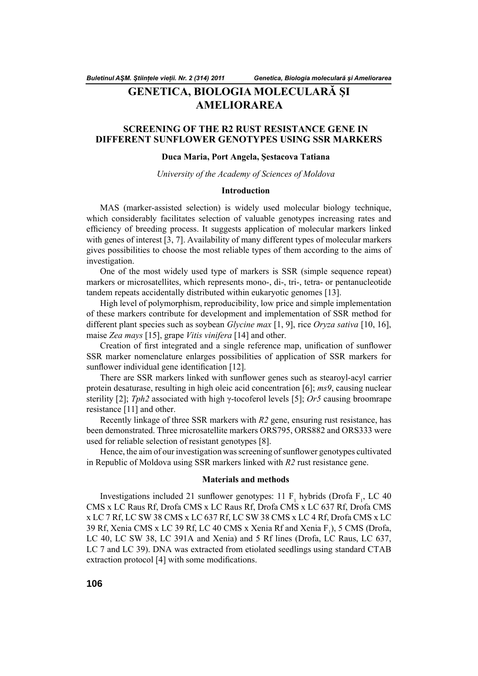*Buletinul AŞM. Ştiinţele vieţii. Nr. 2 (314) 2011*

*Genetica, Biologia moleculară şi Ameliorarea*

# **GENETICA, BIOLOGIA MOLECULARĂ ŞI AMELIORAREA**

## **SCREENING OF THE R2 RUST RESISTANCE GENE IN DIFFERENT SUNFLOWER GENOTYPES USING SSR MARKERS**

## **Duca Maria, Port Angela, Şestacova Tatiana**

*University of the Academy of Sciences of Moldova*

## **Introduction**

MAS (marker-assisted selection) is widely used molecular biology technique, which considerably facilitates selection of valuable genotypes increasing rates and efficiency of breeding process. It suggests application of molecular markers linked with genes of interest [3, 7]. Availability of many different types of molecular markers gives possibilities to choose the most reliable types of them according to the aims of investigation.

One of the most widely used type of markers is SSR (simple sequence repeat) markers or microsatellites, which represents mono-, di-, tri-, tetra- or pentanucleotide tandem repeats accidentally distributed within eukaryotic genomes [13].

High level of polymorphism, reproducibility, low price and simple implementation of these markers contribute for development and implementation of SSR method for different plant species such as soybean *Glycine max* [1, 9], rice *Oryza sativa* [10, 16], maise *Zea mays* [15], grape *Vitis vinifera* [14] and other.

Creation of first integrated and a single reference map, unification of sunflower SSR marker nomenclature enlarges possibilities of application of SSR markers for sunflower individual gene identification [12].

There are SSR markers linked with sunflower genes such as stearoyl-acyl carrier protein desaturase, resulting in high oleic acid concentration [6]; *ms9*, causing nuclear sterility [2]; *Tph2* associated with high γ-tocoferol levels [5]; *Or5* causing broomrape resistance [11] and other.

Recently linkage of three SSR markers with *R2* gene, ensuring rust resistance, has been demonstrated. Three microsatellite markers ORS795, ORS882 and ORS333 were used for reliable selection of resistant genotypes [8].

Hence, the aim of our investigation was screening of sunflower genotypes cultivated in Republic of Moldova using SSR markers linked with *R2* rust resistance gene.

## **Materials and methods**

Investigations included 21 sunflower genotypes: 11  $F_1$  hybrids (Drofa  $F_1$ , LC 40 CMS x LC Raus Rf, Drofa CMS x LC Raus Rf, Drofa CMS x LC 637 Rf, Drofa CMS x LC 7 Rf, LC SW 38 CMS x LC 637 Rf, LC SW 38 CMS x LC 4 Rf, Drofa CMS x LC 39 Rf, Xenia CMS x LC 39 Rf, LC 40 CMS x Xenia Rf and Xenia  $F_1$ ), 5 CMS (Drofa, LC 40, LC SW 38, LC 391A and Xenia) and 5 Rf lines (Drofa, LC Raus, LC 637, LC 7 and LC 39). DNA was extracted from etiolated seedlings using standard CTAB extraction protocol  $[4]$  with some modifications.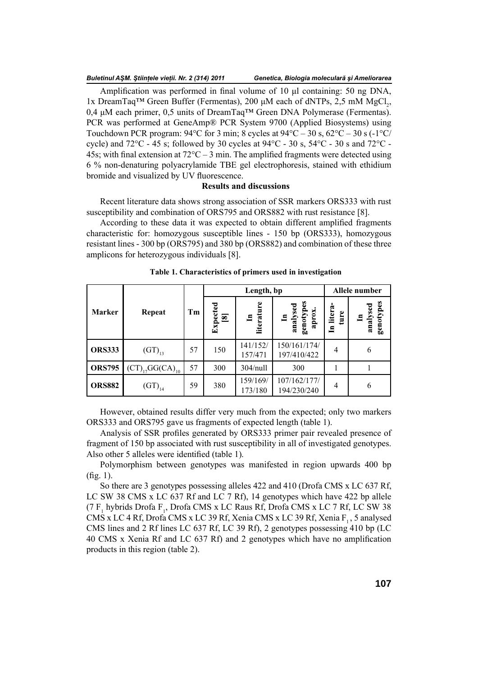#### *Buletinul AŞM. Ştiinţele vieţii. Nr. 2 (314) 2011*

Amplification was performed in final volume of 10  $\mu$ l containing: 50 ng DNA, 1x DreamTaq<sup>TM</sup> Green Buffer (Fermentas), 200 μM each of dNTPs, 2,5 mM MgCl<sub>2</sub>, 0,4 μM each primer, 0,5 units of DreamTaq™ Green DNA Polymerase (Fermentas). PCR was performed at GeneAmp® PCR System 9700 (Applied Biosystems) using Touchdown PCR program:  $94^{\circ}$ C for 3 min; 8 cycles at  $94^{\circ}$ C – 30 s,  $62^{\circ}$ C – 30 s (-1 $^{\circ}$ C/ cycle) and  $72^{\circ}$ C - 45 s; followed by 30 cycles at  $94^{\circ}$ C - 30 s,  $54^{\circ}$ C - 30 s and  $72^{\circ}$ C -45s; with final extension at  $72^{\circ}$ C – 3 min. The amplified fragments were detected using 6 % non-denaturing polyacrylamide TBE gel electrophoresis, stained with ethidium bromide and visualized by UV fluorescence.

## **Results and discussions**

Recent literature data shows strong association of SSR markers ORS333 with rust susceptibility and combination of ORS795 and ORS882 with rust resistance [8].

According to these data it was expected to obtain different amplified fragments characteristic for: homozygous susceptible lines - 150 bp (ORS333), homozygous resistant lines - 300 bp (ORS795) and 380 bp (ORS882) and combination of these three amplicons for heterozygous individuals [8].

|               |                        |    | Length, bp              |                     |                                       | Allele number       |                       |
|---------------|------------------------|----|-------------------------|---------------------|---------------------------------------|---------------------|-----------------------|
| <b>Marker</b> | Repeat                 | Tm | Expected<br>$\boxed{8}$ | literature<br>≘     | In<br>analysed<br>genotypes<br>aprox. | litera<br>ture<br>드 | genotypes<br>analysed |
| <b>ORS333</b> | $(GT)_{13}$            | 57 | 150                     | 141/152/<br>157/471 | 150/161/174/<br>197/410/422           | 4                   | 6                     |
| <b>ORS795</b> | $(CT)_{17}GG(CA)_{10}$ | 57 | 300                     | $304$ /null         | 300                                   |                     |                       |
| <b>ORS882</b> | $(GT)_{14}$            | 59 | 380                     | 159/169/<br>173/180 | 107/162/177/<br>194/230/240           | 4                   | 6                     |

### **Table 1. Characteristics of primers used in investigation**

However, obtained results differ very much from the expected; only two markers ORS333 and ORS795 gave us fragments of expected length (table 1).

Analysis of SSR profiles generated by ORS333 primer pair revealed presence of fragment of 150 bp associated with rust susceptibility in all of investigated genotypes. Also other 5 alleles were identified (table 1).

Polymorphism between genotypes was manifested in region upwards 400 bp  $(fig. 1)$ .

So there are 3 genotypes possessing alleles 422 and 410 (Drofa CMS x LC 637 Rf, LC SW 38 CMS x LC 637 Rf and LC 7 Rf), 14 genotypes which have 422 bp allele  $(7 \text{ F}_1 \text{hybrids Drofa F}_1, \text{Drofa CMS x LC Raus Rf, Drofa CMS x LC 7 Rf, LC SW 38}$ CMS x LC 4 Rf, Drofa CMS x LC 39 Rf, Xenia CMS x LC 39 Rf, Xenia F<sub>12</sub> 5 analysed CMS lines and 2 Rf lines LC 637 Rf, LC 39 Rf), 2 genotypes possessing 410 bp (LC 40 CMS x Xenia Rf and LC 637 Rf) and 2 genotypes which have no amplification products in this region (table 2).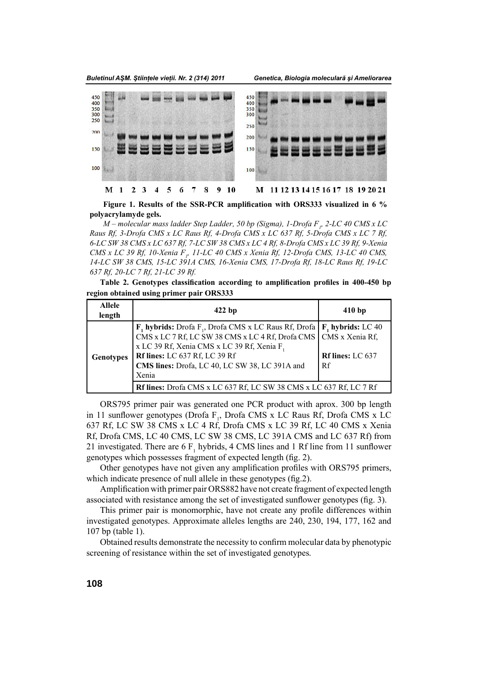*Buletinul AŞM. Ştiinţele vieţii. Nr. 2 (314) 2011*



Figure 1. Results of the SSR-PCR amplification with ORS333 visualized in 6 % **polyacrylamyde gels.**

*M – molecular mass ladder Step Ladder, 50 bp (Sigma), 1-Drofa F<sup>1</sup> , 2-LC 40 CMS x LC Raus Rf, 3-Drofa CMS x LC Raus Rf, 4-Drofa CMS x LC 637 Rf, 5-Drofa CMS x LC 7 Rf, 6-LC SW 38 CMS x LC 637 Rf, 7-LC SW 38 CMS x LC 4 Rf, 8-Drofa CMS x LC 39 Rf, 9-Xenia CMS x LC 39 Rf, 10-Xenia F<sub>p</sub> 11-LC 40 CMS x Xenia Rf, 12-Drofa CMS, 13-LC 40 CMS, 14-LC SW 38 CMS, 15-LC 391A CMS, 16-Xenia CMS, 17-Drofa Rf, 18-LC Raus Rf, 19-LC 637 Rf, 20-LC 7 Rf, 21-LC 39 Rf.*

Table 2. Genotypes classification according to amplification profiles in 400-450 bp **region obtained using primer pair ORS333**

| <b>Allele</b><br>length | $422$ bp                                                                                                                                                                                                                                                                                                                      | 410bp                           |  |  |  |
|-------------------------|-------------------------------------------------------------------------------------------------------------------------------------------------------------------------------------------------------------------------------------------------------------------------------------------------------------------------------|---------------------------------|--|--|--|
| <b>Genotypes</b>        | $\mathbf{F}_1$ hybrids: Drofa $\mathbf{F}_1$ , Drofa CMS x LC Raus Rf, Drofa   $\mathbf{F}_1$ hybrids: LC 40<br>CMS x LC 7 Rf, LC SW 38 CMS x LC 4 Rf, Drofa CMS<br>x LC 39 Rf, Xenia CMS x LC 39 Rf, Xenia F <sub>1</sub><br><b>Rf lines:</b> LC 637 Rf, LC 39 Rf<br>CMS lines: Drofa, LC 40, LC SW 38, LC 391A and<br>Xenia | <b>Rf lines: LC 637</b><br>l Rf |  |  |  |
|                         | Rf lines: Drofa CMS x LC 637 Rf, LC SW 38 CMS x LC 637 Rf, LC 7 Rf                                                                                                                                                                                                                                                            |                                 |  |  |  |

ORS795 primer pair was generated one PCR product with aprox. 300 bp length in 11 sunflower genotypes (Drofa  $F_1$ , Drofa CMS x LC Raus Rf, Drofa CMS x LC 637 Rf, LC SW 38 CMS x LC 4 Rf, Drofa CMS x LC 39 Rf, LC 40 CMS x Xenia Rf, Drofa CMS, LC 40 CMS, LC SW 38 CMS, LC 391A CMS and LC 637 Rf) from 21 investigated. There are 6  $F_1$  hybrids, 4 CMS lines and 1 Rf line from 11 sunflower genotypes which possesses fragment of expected length (fig. 2).

Other genotypes have not given any amplification profiles with ORS795 primers, which indicate presence of null allele in these genotypes  $(f_1, g_2)$ .

Amplification with primer pair ORS882 have not create fragment of expected length associated with resistance among the set of investigated sunflower genotypes (fig. 3).

This primer pair is monomorphic, have not create any profile differences within investigated genotypes. Approximate alleles lengths are 240, 230, 194, 177, 162 and 107 bp (table 1).

Obtained results demonstrate the necessity to confirm molecular data by phenotypic screening of resistance within the set of investigated genotypes.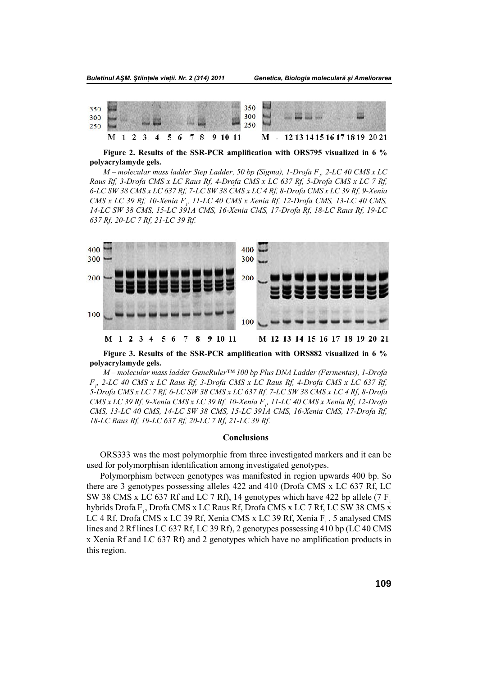

Figure 2. Results of the SSR-PCR amplification with ORS795 visualized in 6 % **polyacrylamyde gels.**

*M – molecular mass ladder Step Ladder, 50 bp (Sigma), 1-Drofa F<sup>1</sup> , 2-LC 40 CMS x LC Raus Rf, 3-Drofa CMS x LC Raus Rf, 4-Drofa CMS x LC 637 Rf, 5-Drofa CMS x LC 7 Rf, 6-LC SW 38 CMS x LC 637 Rf, 7-LC SW 38 CMS x LC 4 Rf, 8-Drofa CMS x LC 39 Rf, 9-Xenia CMS x LC 39 Rf, 10-Xenia F<sub>p</sub> 11-LC 40 CMS x Xenia Rf, 12-Drofa CMS, 13-LC 40 CMS, 14-LC SW 38 CMS, 15-LC 391A CMS, 16-Xenia CMS, 17-Drofa Rf, 18-LC Raus Rf, 19-LC 637 Rf, 20-LC 7 Rf, 21-LC 39 Rf.*



Figure 3. Results of the SSR-PCR amplification with ORS882 visualized in 6 % **polyacrylamyde gels.** 

*M – molecular mass ladder GeneRuler™ 100 bp Plus DNA Ladder (Fermentas), 1-Drofa F1 , 2-LC 40 CMS x LC Raus Rf, 3-Drofa CMS x LC Raus Rf, 4-Drofa CMS x LC 637 Rf, 5-Drofa CMS x LC 7 Rf, 6-LC SW 38 CMS x LC 637 Rf, 7-LC SW 38 CMS x LC 4 Rf, 8-Drofa CMS x LC 39 Rf, 9-Xenia CMS x LC 39 Rf, 10-Xenia F1 , 11-LC 40 CMS x Xenia Rf, 12-Drofa CMS, 13-LC 40 CMS, 14-LC SW 38 CMS, 15-LC 391A CMS, 16-Xenia CMS, 17-Drofa Rf, 18-LC Raus Rf, 19-LC 637 Rf, 20-LC 7 Rf, 21-LC 39 Rf.*

## **Conclusions**

ORS333 was the most polymorphic from three investigated markers and it can be used for polymorphism identification among investigated genotypes.

Polymorphism between genotypes was manifested in region upwards 400 bp. So there are 3 genotypes possessing alleles 422 and 410 (Drofa CMS x LC 637 Rf, LC SW 38 CMS x LC 637 Rf and LC 7 Rf), 14 genotypes which have 422 bp allele (7 F. hybrids Drofa F<sub>1</sub>, Drofa CMS x LC Raus Rf, Drofa CMS x LC 7 Rf, LC SW 38 CMS x LC 4 Rf, Drofa CMS x LC 39 Rf, Xenia CMS x LC 39 Rf, Xenia F<sub>1</sub>, 5 analysed CMS lines and 2 Rf lines LC 637 Rf, LC 39 Rf), 2 genotypes possessing 410 bp (LC 40 CMS x Xenia Rf and LC 637 Rf) and 2 genotypes which have no amplification products in this region.